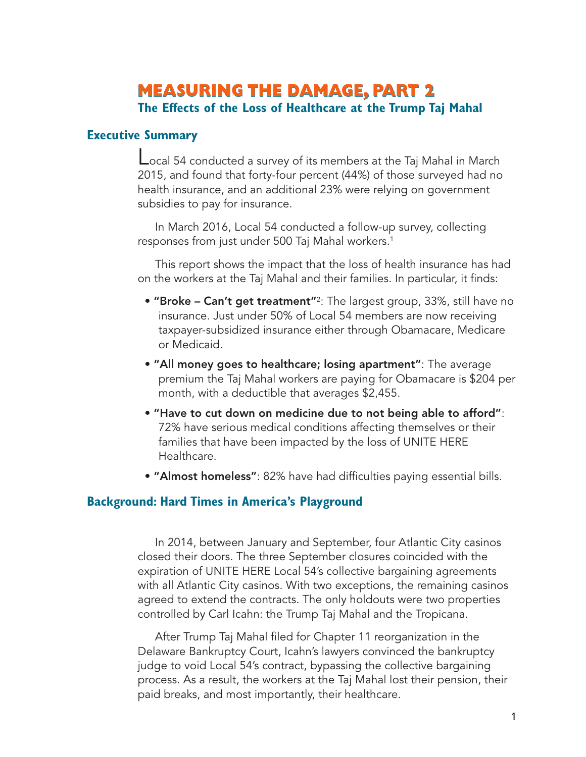# **MEASURING THE DAMAGE, PART 2 The Effects of the Loss of Healthcare at the Trump Taj Mahal**

# **Executive Summary**

Local 54 conducted a survey of its members at the Taj Mahal in March 2015, and found that forty-four percent (44%) of those surveyed had no health insurance, and an additional 23% were relying on government subsidies to pay for insurance.

In March 2016, Local 54 conducted a follow-up survey, collecting responses from just under 500 Taj Mahal workers. 1

This report shows the impact that the loss of health insurance has had on the workers at the Taj Mahal and their families. In particular, it finds:

- **• "Broke – Can't get treatment"**2: The largest group, 33%, still have no insurance. Just under 50% of Local 54 members are now receiving taxpayer-subsidized insurance either through Obamacare, Medicare or Medicaid.
- **• "All money goes to healthcare; losing apartment"**: The average premium the Taj Mahal workers are paying for Obamacare is \$204 per month, with a deductible that averages \$2,455.
- **• "Have to cut down on medicine due to not being able to afford"**: 72% have serious medical conditions affecting themselves or their families that have been impacted by the loss of UNITE HERE Healthcare.
- **• "Almost homeless"**: 82% have had difficulties paying essential bills.

# **Background: Hard Times in America's Playground**

In 2014, between January and September, four Atlantic City casinos closed their doors. The three September closures coincided with the expiration of UNITE HERE Local 54's collective bargaining agreements with all Atlantic City casinos. With two exceptions, the remaining casinos agreed to extend the contracts. The only holdouts were two properties controlled by Carl Icahn: the Trump Taj Mahal and the Tropicana.

After Trump Taj Mahal filed for Chapter 11 reorganization in the Delaware Bankruptcy Court, Icahn's lawyers convinced the bankruptcy judge to void Local 54's contract, bypassing the collective bargaining process. As a result, the workers at the Taj Mahal lost their pension, their paid breaks, and most importantly, their healthcare.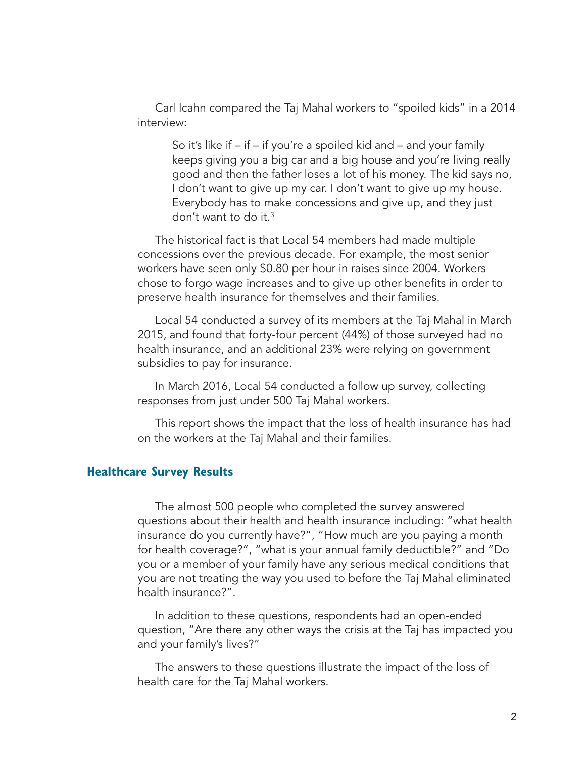Carl Icahn compared the Taj Mahal workers to "spoiled kids" in a 2014 interview:

So it's like if – if – if you're a spoiled kid and – and your family keeps giving you a big car and a big house and you're living really good and then the father loses a lot of his money. The kid says no, I don't want to give up my car. I don't want to give up my house. Everybody has to make concessions and give up, and they just don't want to do it. 3

The historical fact is that Local 54 members had made multiple concessions over the previous decade. For example, the most senior workers have seen only \$0.80 per hour in raises since 2004. Workers chose to forgo wage increases and to give up other benefits in order to preserve health insurance for themselves and their families.

Local 54 conducted a survey of its members at the Taj Mahal in March 2015, and found that forty-four percent (44%) of those surveyed had no health insurance, and an additional 23% were relying on government subsidies to pay for insurance.

In March 2016, Local 54 conducted a follow up survey, collecting responses from just under 500 Taj Mahal workers.

This report shows the impact that the loss of health insurance has had on the workers at the Taj Mahal and their families.

#### **Healthcare Survey Results**

The almost 500 people who completed the survey answered questions about their health and health insurance including: "what health insurance do you currently have?", "How much are you paying a month for health coverage?", "what is your annual family deductible?" and "Do you or a member of your family have any serious medical conditions that you are not treating the way you used to before the Taj Mahal eliminated health insurance?".

In addition to these questions, respondents had an open-ended question, "Are there any other ways the crisis at the Taj has impacted you and your family's lives?"

The answers to these questions illustrate the impact of the loss of health care for the Taj Mahal workers.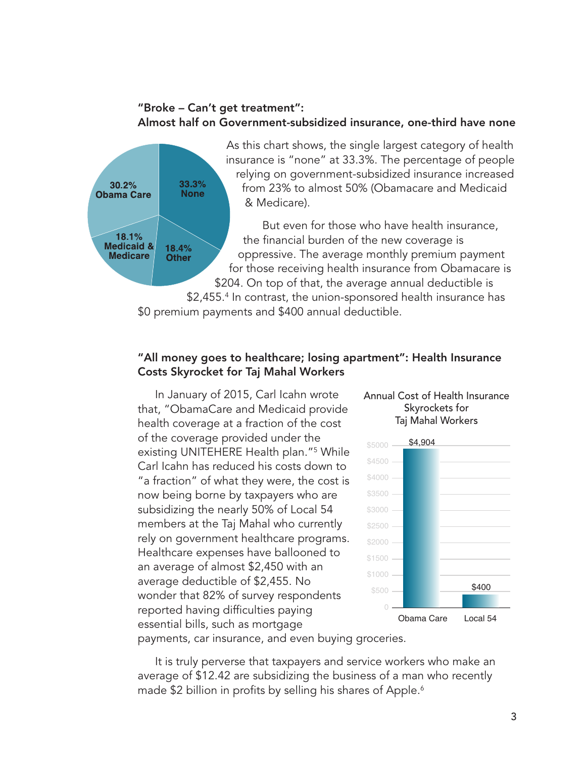# **"Broke – Can't get treatment": Almost half on Government-subsidized insurance, one-third have none**



## **"All money goes to healthcare; losing apartment": Health Insurance Costs Skyrocket for Taj Mahal Workers**

In January of 2015, Carl Icahn wrote that, "ObamaCare and Medicaid provide health coverage at a fraction of the cost of the coverage provided under the existing UNITEHERE Health plan."5 While Carl Icahn has reduced his costs down to "a fraction" of what they were, the cost is now being borne by taxpayers who are subsidizing the nearly 50% of Local 54 members at the Taj Mahal who currently rely on government healthcare programs. Healthcare expenses have ballooned to an average of almost \$2,450 with an average deductible of \$2,455. No wonder that 82% of survey respondents reported having difficulties paying essential bills, such as mortgage

#### Annual Cost of Health Insurance Skyrockets for Taj Mahal Workers



payments, car insurance, and even buying groceries.

It is truly perverse that taxpayers and service workers who make an average of \$12.42 are subsidizing the business of a man who recently made \$2 billion in profits by selling his shares of Apple. 6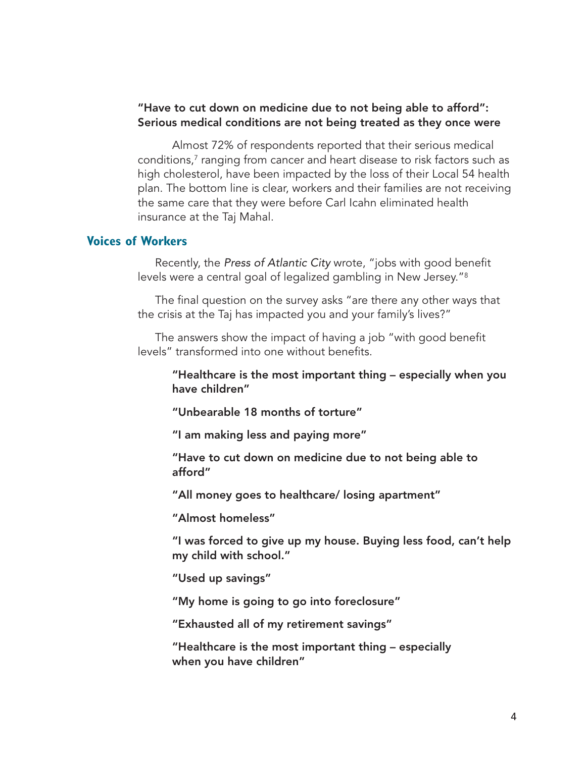#### **"Have to cut down on medicine due to not being able to afford": Serious medical conditions are not being treated as they once were**

Almost 72% of respondents reported that their serious medical conditions, <sup>7</sup> ranging from cancer and heart disease to risk factors such as high cholesterol, have been impacted by the loss of their Local 54 health plan. The bottom line is clear, workers and their families are not receiving the same care that they were before Carl Icahn eliminated health insurance at the Taj Mahal.

### **Voices of Workers**

Recently, the *Press of Atlantic City* wrote, "jobs with good benefit levels were a central goal of legalized gambling in New Jersey."8

The final question on the survey asks "are there any other ways that the crisis at the Taj has impacted you and your family's lives?"

The answers show the impact of having a job "with good benefit levels" transformed into one without benefits.

**"Healthcare is the most important thing – especially when you have children"**

**"Unbearable 18 months of torture"**

**"I am making less and paying more"**

**"Have to cut down on medicine due to not being able to afford"**

**"All money goes to healthcare/ losing apartment"**

**"Almost homeless"**

**"I was forced to give up my house. Buying less food, can't help my child with school."**

**"Used up savings"**

**"My home is going to go into foreclosure"**

**"Exhausted all of my retirement savings"**

**"Healthcare is the most important thing – especially when you have children"**